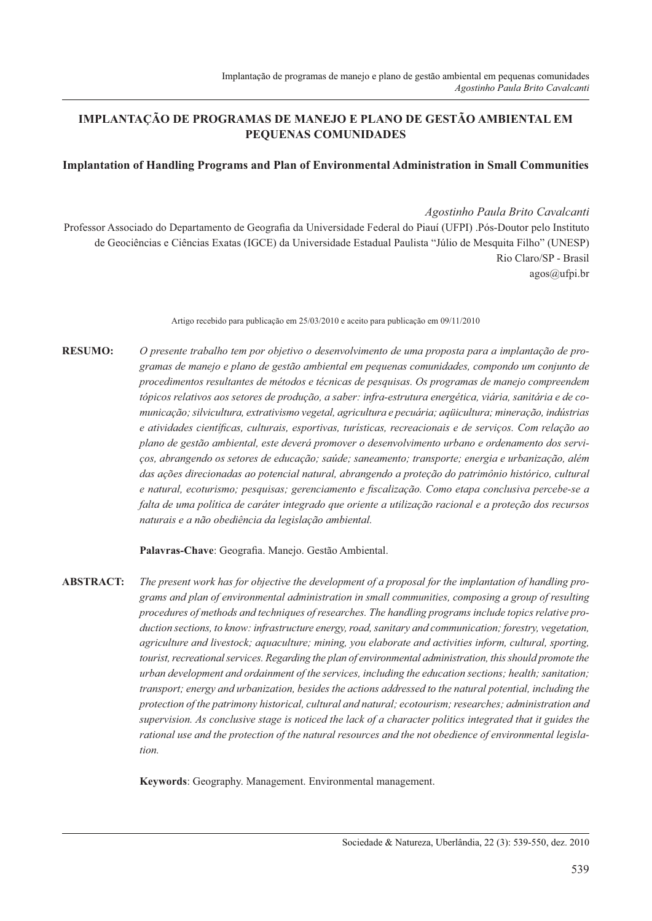# IMPLANTACÃO DE PROGRAMAS DE MANEJO E PLANO DE GESTÃO AMBIENTAL EM PEQUENAS COMUNIDADES

#### **Implantation of Handling Programs and Plan of Environmental Administration in Small Communities**

Agostinho Paula Brito Cavalcanti

Professor Associado do Departamento de Geografia da Universidade Federal do Piauí (UFPI). Pós-Doutor pelo Instituto de Geociências e Ciências Exatas (IGCE) da Universidade Estadual Paulista "Júlio de Mesquita Filho" (UNESP) Rio Claro/SP - Brasil  $a\text{gos}(\widehat{a})$ ufpi.br

Artigo recebido para publicação em 25/03/2010 e aceito para publicação em 09/11/2010

**RESUMO:** O presente trabalho tem por objetivo o desenvolvimento de uma proposta para a implantação de programas de manejo e plano de gestão ambiental em pequenas comunidades, compondo um conjunto de procedimentos resultantes de métodos e técnicas de pesquisas. Os programas de manejo compreendem tópicos relativos aos setores de produção, a saber: infra-estrutura energética, viária, sanitária e de comunicação; silvicultura, extrativismo vegetal, agricultura e pecuária; aqüicultura; mineração, indústrias e atividades científicas, culturais, esportivas, turísticas, recreacionais e de serviços. Com relação ao plano de gestão ambiental, este deverá promover o desenvolvimento urbano e ordenamento dos servicos, abrangendo os setores de educação; saúde; saneamento; transporte; energia e urbanização, além das acões direcionadas ao potencial natural, abrangendo a proteção do patrimônio histórico, cultural e natural, ecoturismo; pesquisas; gerenciamento e fiscalização. Como etapa conclusiva percebe-se a falta de uma política de caráter integrado que oriente a utilização racional e a proteção dos recursos naturais e a não obediência da legislação ambiental.

Palavras-Chave: Geografia. Manejo. Gestão Ambiental.

**ABSTRACT:** The present work has for objective the development of a proposal for the implantation of handling programs and plan of environmental administration in small communities, composing a group of resulting procedures of methods and techniques of researches. The handling programs include topics relative production sections, to know: infrastructure energy, road, sanitary and communication; forestry, vegetation, agriculture and livestock; aquaculture; mining, you elaborate and activities inform, cultural, sporting, tourist, recreational services. Regarding the plan of environmental administration, this should promote the urban development and ordainment of the services, including the education sections; health; sanitation; transport; energy and urbanization, besides the actions addressed to the natural potential, including the protection of the patrimony historical, cultural and natural; ecotourism; researches; administration and supervision. As conclusive stage is noticed the lack of a character politics integrated that it guides the rational use and the protection of the natural resources and the not obedience of environmental legislation

Keywords: Geography. Management. Environmental management.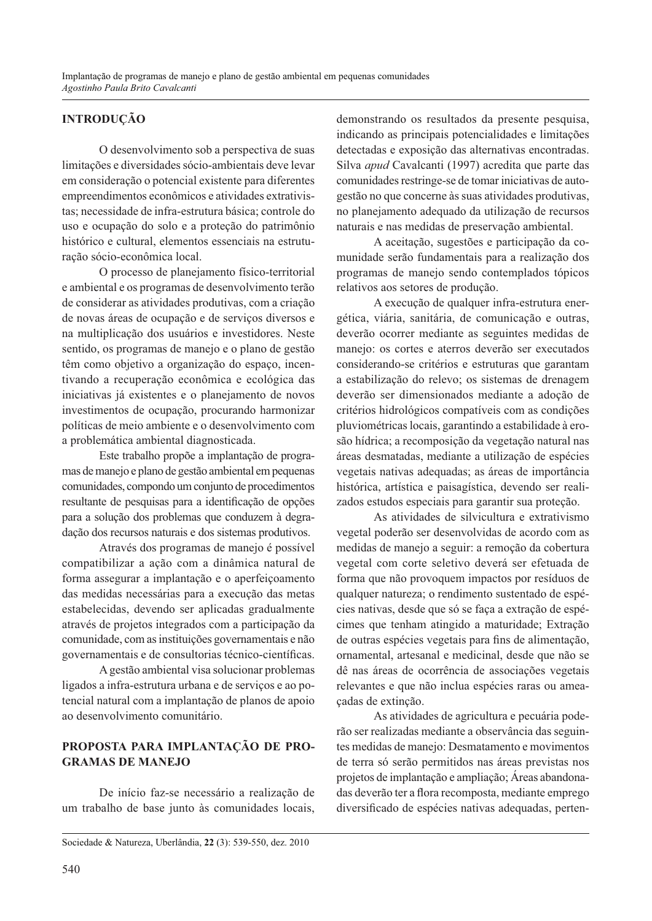#### **INTRODUÇÃO**

O desenvolvimento sob a perspectiva de suas limitações e diversidades sócio-ambientais deve levar em consideração o potencial existente para diferentes empreendimentos econômicos e atividades extrativistas; necessidade de infra-estrutura básica; controle do uso e ocupação do solo e a proteção do patrimônio histórico e cultural, elementos essenciais na estruturação sócio-econômica local.

O processo de planejamento físico-territorial e ambiental e os programas de desenvolvimento terão de considerar as atividades produtivas, com a criação de novas áreas de ocupação e de serviços diversos e na multiplicação dos usuários e investidores. Neste sentido, os programas de manejo e o plano de gestão têm como objetivo a organização do espaço, incentivando a recuperação econômica e ecológica das iniciativas já existentes e o planejamento de novos investimentos de ocupação, procurando harmonizar políticas de meio ambiente e o desenvolvimento com a problemática ambiental diagnosticada.

Este trabalho propõe a implantação de programas de manejo e plano de gestão ambiental em pequenas comunidades, compondo um conjunto de procedimentos resultante de pesquisas para a identificação de opções para a solução dos problemas que conduzem à degradação dos recursos naturais e dos sistemas produtivos.

Através dos programas de manejo é possível compatibilizar a ação com a dinâmica natural de forma assegurar a implantação e o aperfeiçoamento das medidas necessárias para a execução das metas estabelecidas, devendo ser aplicadas gradualmente através de projetos integrados com a participação da comunidade, com as instituições governamentais e não governamentais e de consultorias técnico-científicas.

A gestão ambiental visa solucionar problemas ligados a infra-estrutura urbana e de serviços e ao potencial natural com a implantação de planos de apoio ao desenvolvimento comunitário.

#### PROPOSTA PARA IMPLANTAÇÃO DE PRO-**GRAMAS DE MANEJO**

De início faz-se necessário a realização de um trabalho de base junto às comunidades locais, demonstrando os resultados da presente pesquisa, indicando as principais potencialidades e limitações detectadas e exposição das alternativas encontradas. Silva *apud* Cavalcanti (1997) acredita que parte das comunidades restringe-se de tomar iniciativas de autogestão no que concerne às suas atividades produtivas, no planejamento adequado da utilização de recursos naturais e nas medidas de preservação ambiental.

A aceitação, sugestões e participação da comunidade serão fundamentais para a realização dos programas de manejo sendo contemplados tópicos relativos aos setores de produção.

A execução de qualquer infra-estrutura energética, viária, sanitária, de comunicação e outras, deverão ocorrer mediante as seguintes medidas de manejo: os cortes e aterros deverão ser executados considerando-se critérios e estruturas que garantam a estabilização do relevo; os sistemas de drenagem deverão ser dimensionados mediante a adoção de critérios hidrológicos compatíveis com as condições pluviométricas locais, garantindo a estabilidade à erosão hídrica; a recomposição da vegetação natural nas áreas desmatadas, mediante a utilização de espécies vegetais nativas adequadas; as áreas de importância histórica, artística e paisagística, devendo ser realizados estudos especiais para garantir sua proteção.

As atividades de silvicultura e extrativismo vegetal poderão ser desenvolvidas de acordo com as medidas de manejo a seguir: a remoção da cobertura vegetal com corte seletivo deverá ser efetuada de forma que não provoquem impactos por resíduos de qualquer natureza; o rendimento sustentado de espécies nativas, desde que só se faça a extração de espécimes que tenham atingido a maturidade; Extração de outras espécies vegetais para fins de alimentação, ornamental, artesanal e medicinal, desde que não se dê nas áreas de ocorrência de associações vegetais relevantes e que não inclua espécies raras ou ameacadas de extincão.

As atividades de agricultura e pecuária poderão ser realizadas mediante a observância das seguintes medidas de manejo: Desmatamento e movimentos de terra só serão permitidos nas áreas previstas nos projetos de implantação e ampliação; Áreas abandonadas deverão ter a flora recomposta, mediante emprego diversificado de espécies nativas adequadas, perten-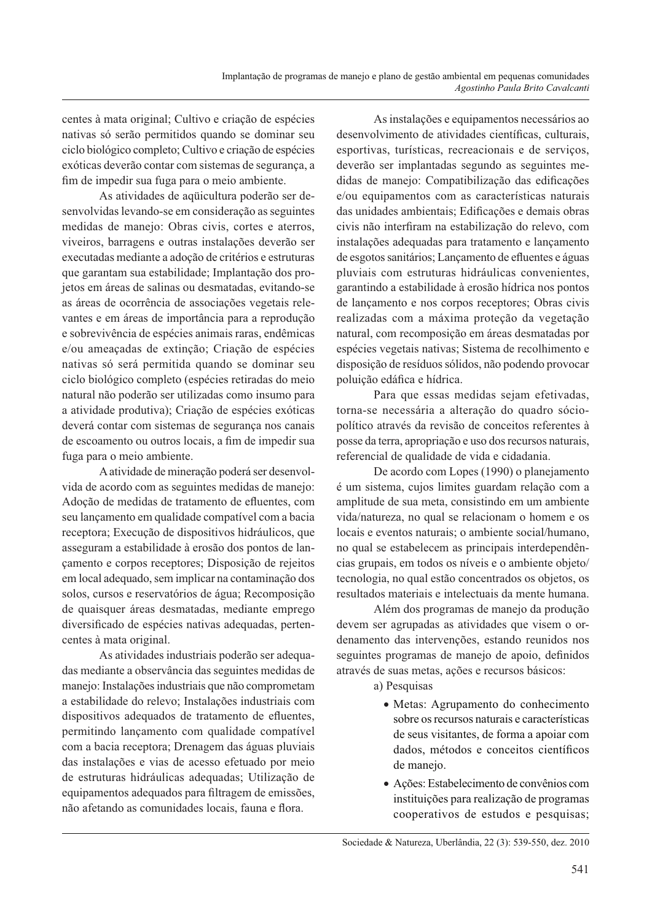centes à mata original: Cultivo e criação de espécies nativas só serão permitidos quando se dominar seu ciclo biológico completo; Cultivo e criação de espécies exóticas deverão contar com sistemas de segurança, a fim de impedir sua fuga para o meio ambiente.

As atividades de aquicultura poderão ser desenvolvidas levando-se em consideração as seguintes medidas de manejo: Obras civis, cortes e aterros, viveiros, barragens e outras instalações deverão ser executadas mediante a adoção de critérios e estruturas que garantam sua estabilidade; Implantação dos projetos em áreas de salinas ou desmatadas, evitando-se as áreas de ocorrência de associações vegetais relevantes e em áreas de importância para a reprodução e sobrevivência de espécies animais raras, endêmicas e/ou ameaçadas de extinção; Criação de espécies nativas só será permitida quando se dominar seu ciclo biológico completo (espécies retiradas do meio natural não poderão ser utilizadas como insumo para a atividade produtiva); Criação de espécies exóticas deverá contar com sistemas de segurança nos canais de escoamento ou outros locais, a fim de impedir sua fuga para o meio ambiente.

A atividade de mineração poderá ser desenvolvida de acordo com as seguintes medidas de manejo: Adoção de medidas de tratamento de efluentes, com seu lançamento em qualidade compatível com a bacia receptora; Execução de dispositivos hidráulicos, que asseguram a estabilidade à erosão dos pontos de lancamento e corpos receptores; Disposição de rejeitos em local adequado, sem implicar na contaminação dos solos, cursos e reservatórios de água; Recomposição de quaisquer áreas desmatadas, mediante emprego diversificado de espécies nativas adequadas, pertencentes à mata original.

As atividades industriais poderão ser adequadas mediante a observância das seguintes medidas de manejo: Instalações industriais que não comprometam a estabilidade do relevo: Instalações industriais com dispositivos adequados de tratamento de efluentes, permitindo lançamento com qualidade compatível com a bacia receptora; Drenagem das águas pluviais das instalações e vias de acesso efetuado por meio de estruturas hidráulicas adequadas; Utilização de equipamentos adequados para filtragem de emissões, não afetando as comunidades locais, fauna e flora.

As instalações e equipamentos necessários ao desenvolvimento de atividades científicas, culturais, esportivas, turísticas, recreacionais e de serviços, deverão ser implantadas segundo as seguintes medidas de manejo: Compatibilização das edificações e/ou equipamentos com as características naturais das unidades ambientais; Edificações e demais obras civis não interfiram na estabilização do relevo, com instalações adequadas para tratamento e lançamento de esgotos sanitários; Lançamento de efluentes e águas pluviais com estruturas hidráulicas convenientes, garantindo a estabilidade à erosão hídrica nos pontos de lançamento e nos corpos receptores; Obras civis realizadas com a máxima proteção da vegetação natural, com recomposição em áreas desmatadas por espécies vegetais nativas; Sistema de recolhimento e disposição de resíduos sólidos, não podendo provocar poluição edáfica e hídrica.

Para que essas medidas sejam efetivadas, torna-se necessária a alteração do quadro sóciopolítico através da revisão de conceitos referentes à posse da terra, apropriação e uso dos recursos naturais, referencial de qualidade de vida e cidadania.

De acordo com Lopes (1990) o planejamento é um sistema, cujos limites guardam relação com a amplitude de sua meta, consistindo em um ambiente vida/natureza, no qual se relacionam o homem e os locais e eventos naturais; o ambiente social/humano, no qual se estabelecem as principais interdependências grupais, em todos os níveis e o ambiente objeto/ tecnologia, no qual estão concentrados os objetos, os resultados materiais e intelectuais da mente humana.

Além dos programas de manejo da produção devem ser agrupadas as atividades que visem o ordenamento das intervenções, estando reunidos nos seguintes programas de manejo de apoio, definidos através de suas metas, ações e recursos básicos:

a) Pesquisas

- Metas: Agrupamento do conhecimento sobre os recursos naturais e características de seus visitantes, de forma a apoiar com dados, métodos e conceitos científicos de manejo.
- · Ações: Estabelecimento de convênios com instituições para realização de programas cooperativos de estudos e pesquisas;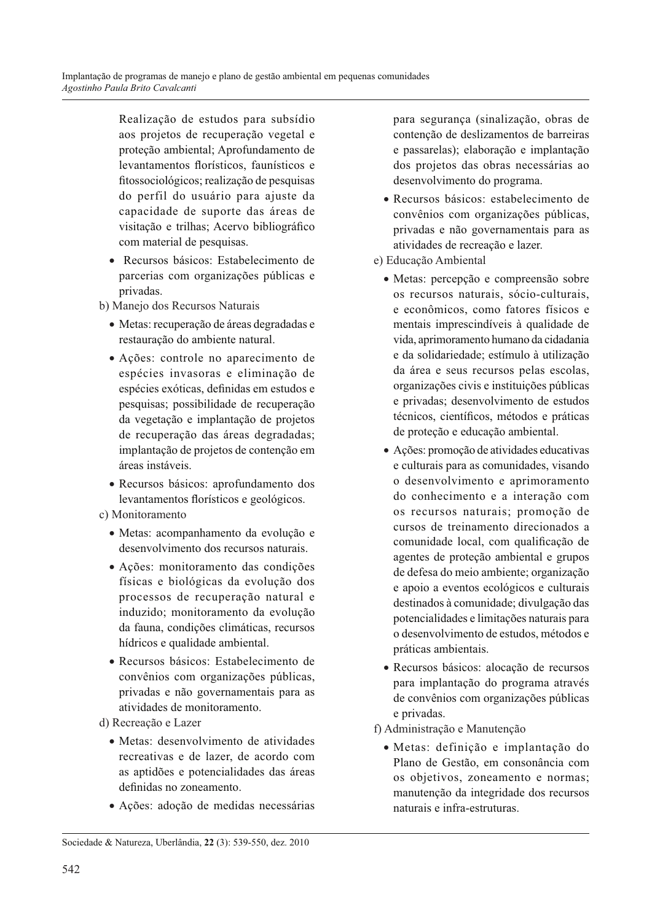Realização de estudos para subsídio aos projetos de recuperação vegetal e proteção ambiental; Aprofundamento de levantamentos florísticos, faunísticos e fitossociológicos; realização de pesquisas do perfil do usuário para ajuste da capacidade de suporte das áreas de visitação e trilhas; Acervo bibliográfico com material de pesquisas.

- Recursos básicos: Estabelecimento de parcerias com organizações públicas e privadas.
- b) Manejo dos Recursos Naturais
	- · Metas: recuperação de áreas degradadas e restauração do ambiente natural.
	- Ações: controle no aparecimento de espécies invasoras e eliminação de espécies exóticas, definidas em estudos e pesquisas; possibilidade de recuperação da vegetação e implantação de projetos de recuperação das áreas degradadas; implantação de projetos de contenção em áreas instáveis.
	- · Recursos básicos: aprofundamento dos levantamentos florísticos e geológicos.
- c) Monitoramento
	- · Metas: acompanhamento da evolução e desenvolvimento dos recursos naturais.
	- · Ações: monitoramento das condições físicas e biológicas da evolução dos processos de recuperação natural e induzido; monitoramento da evolução da fauna, condições climáticas, recursos hídricos e qualidade ambiental.
	- · Recursos básicos: Estabelecimento de convênios com organizações públicas, privadas e não governamentais para as atividades de monitoramento.
- d) Recreação e Lazer
	- · Metas: desenvolvimento de atividades recreativas e de lazer, de acordo com as aptidões e potencialidades das áreas definidas no zoneamento
	- Ações: adoção de medidas necessárias
- · Recursos básicos: estabelecimento de convênios com organizações públicas, privadas e não governamentais para as atividades de recreação e lazer.
- e) Educação Ambiental
	- · Metas: percepção e compreensão sobre os recursos naturais, sócio-culturais, e econômicos, como fatores físicos e mentais imprescindíveis à qualidade de vida, aprimoramento humano da cidadania e da solidariedade; estímulo à utilização da área e seus recursos pelas escolas, organizações civis e instituições públicas e privadas; desenvolvimento de estudos técnicos, científicos, métodos e práticas de proteção e educação ambiental.
	- · Ações: promoção de atividades educativas e culturais para as comunidades, visando o desenvolvimento e aprimoramento do conhecimento e a interação com os recursos naturais; promoção de cursos de treinamento direcionados a comunidade local, com qualificação de agentes de proteção ambiental e grupos de defesa do meio ambiente; organização e apoio a eventos ecológicos e culturais destinados à comunidade; divulgação das potencialidades e limitações naturais para o desenvolvimento de estudos, métodos e práticas ambientais.
	- · Recursos básicos: alocação de recursos para implantação do programa através de convênios com organizações públicas e privadas.
- f) Administração e Manutenção
	- · Metas: definição e implantação do Plano de Gestão, em consonância com os objetivos, zoneamento e normas; manutenção da integridade dos recursos naturais e infra-estruturas.

para seguranca (sinalização, obras de contenção de deslizamentos de barreiras e passarelas); elaboração e implantação dos projetos das obras necessárias ao desenvolvimento do programa.

Sociedade & Natureza, Uberlândia, 22 (3): 539-550, dez. 2010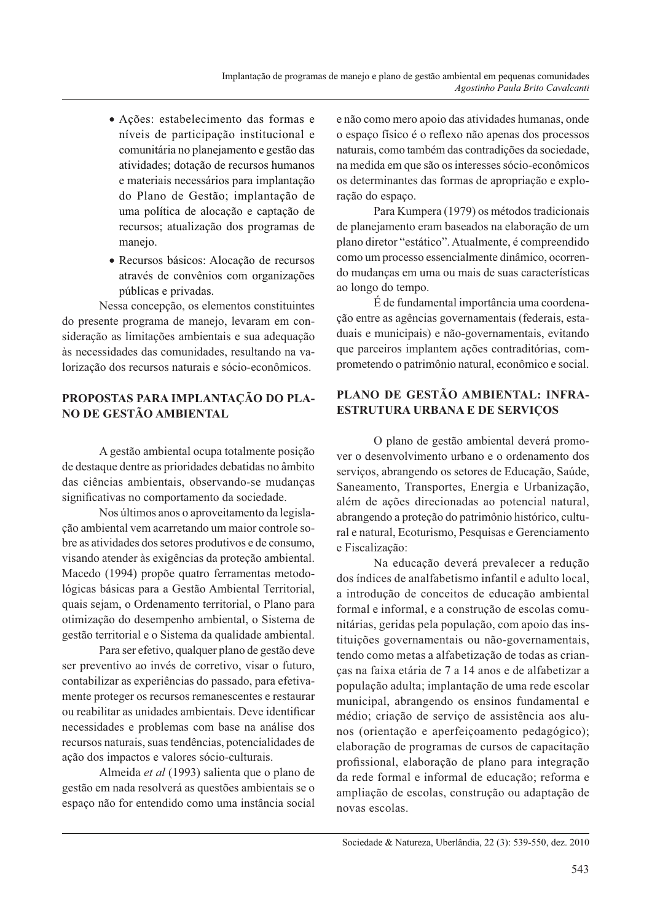- · Ações: estabelecimento das formas e níveis de participação institucional e comunitária no planejamento e gestão das atividades: dotação de recursos humanos e materiais necessários para implantação do Plano de Gestão; implantação de uma política de alocação e captação de recursos; atualização dos programas de manejo.
- Recursos básicos: Alocação de recursos através de convênios com organizações públicas e privadas.

Nessa concepção, os elementos constituintes do presente programa de manejo, levaram em consideração as limitações ambientais e sua adequação às necessidades das comunidades, resultando na valorização dos recursos naturais e sócio-econômicos.

## PROPOSTAS PARA IMPLANTAÇÃO DO PLA-NO DE GESTÃO AMBIENTAL

A gestão ambiental ocupa totalmente posição de destaque dentre as prioridades debatidas no âmbito das ciências ambientais, observando-se mudanças significativas no comportamento da sociedade.

Nos últimos anos o aproveitamento da legislacão ambiental vem acarretando um maior controle sobre as atividades dos setores produtivos e de consumo, visando atender às exigências da proteção ambiental. Macedo (1994) propõe quatro ferramentas metodológicas básicas para a Gestão Ambiental Territorial, quais sejam, o Ordenamento territorial, o Plano para otimização do desempenho ambiental, o Sistema de gestão territorial e o Sistema da qualidade ambiental.

Para ser efetivo, qualquer plano de gestão deve ser preventivo ao invés de corretivo, visar o futuro, contabilizar as experiências do passado, para efetivamente proteger os recursos remanescentes e restaurar ou reabilitar as unidades ambientais. Deve identificar necessidades e problemas com base na análise dos recursos naturais, suas tendências, potencialidades de ação dos impactos e valores sócio-culturais.

Almeida et al (1993) salienta que o plano de gestão em nada resolverá as questões ambientais se o espaço não for entendido como uma instância social

e não como mero apoio das atividades humanas, onde o espaço físico é o reflexo não apenas dos processos naturais, como também das contradições da sociedade, na medida em que são os interesses sócio-econômicos os determinantes das formas de apropriação e exploração do espaço.

Para Kumpera (1979) os métodos tradicionais de planejamento eram baseados na elaboração de um plano diretor "estático". Atualmente, é compreendido como um processo essencialmente dinâmico, ocorrendo mudanças em uma ou mais de suas características ao longo do tempo.

É de fundamental importância uma coordenação entre as agências governamentais (federais, estaduais e municipais) e não-governamentais, evitando que parceiros implantem ações contraditórias, comprometendo o patrimônio natural, econômico e social.

# PLANO DE GESTÃO AMBIENTAL: INFRA-**ESTRUTURA URBANA E DE SERVIÇOS**

O plano de gestão ambiental deverá promover o desenvolvimento urbano e o ordenamento dos serviços, abrangendo os setores de Educação, Saúde, Saneamento, Transportes, Energia e Urbanização, além de ações direcionadas ao potencial natural, abrangendo a proteção do patrimônio histórico, cultural e natural, Ecoturismo, Pesquisas e Gerenciamento e Fiscalização:

Na educação deverá prevalecer a redução dos índices de analfabetismo infantil e adulto local, a introdução de conceitos de educação ambiental formal e informal, e a construção de escolas comunitárias, geridas pela população, com apoio das instituições governamentais ou não-governamentais, tendo como metas a alfabetização de todas as criancas na faixa etária de 7 a 14 anos e de alfabetizar a população adulta; implantação de uma rede escolar municipal, abrangendo os ensinos fundamental e médio; criação de serviço de assistência aos alunos (orientação e aperfeiçoamento pedagógico); elaboração de programas de cursos de capacitação profissional, elaboração de plano para integração da rede formal e informal de educação; reforma e ampliação de escolas, construção ou adaptação de novas escolas.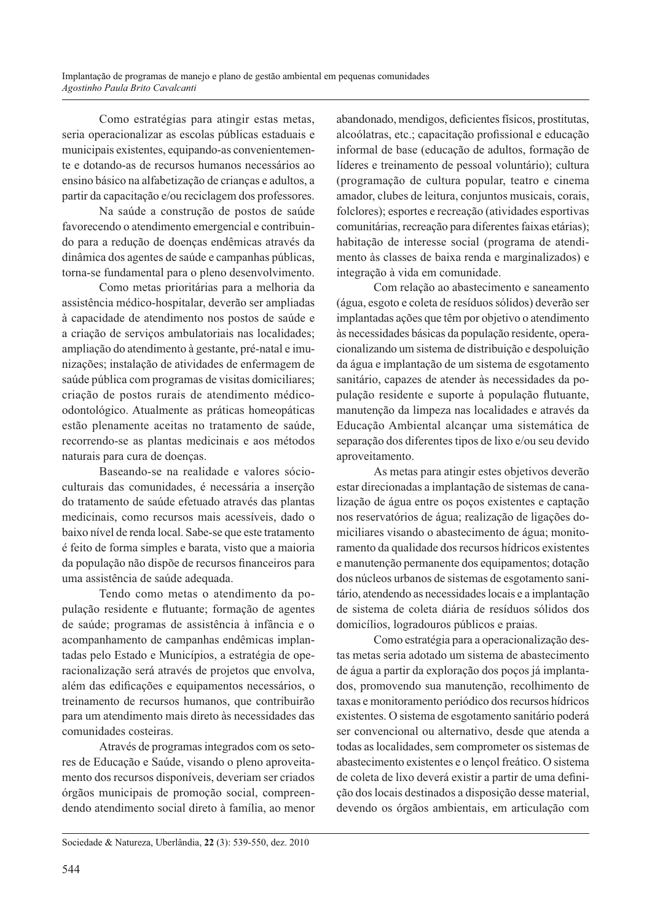Como estratégias para atingir estas metas, seria operacionalizar as escolas públicas estaduais e municipais existentes, equipando-as convenientemente e dotando-as de recursos humanos necessários ao ensino básico na alfabetização de crianças e adultos, a partir da capacitação e/ou reciclagem dos professores.

Na saúde a construção de postos de saúde favorecendo o atendimento emergencial e contribuindo para a redução de doenças endêmicas através da dinâmica dos agentes de saúde e campanhas públicas, torna-se fundamental para o pleno desenvolvimento.

Como metas prioritárias para a melhoria da assistência médico-hospitalar, deverão ser ampliadas à capacidade de atendimento nos postos de saúde e a criação de serviços ambulatoriais nas localidades; ampliação do atendimento à gestante, pré-natal e imunizações; instalação de atividades de enfermagem de saúde pública com programas de visitas domiciliares; criação de postos rurais de atendimento médicoodontológico. Atualmente as práticas homeopáticas estão plenamente aceitas no tratamento de saúde, recorrendo-se as plantas medicinais e aos métodos naturais para cura de doenças.

Baseando-se na realidade e valores sócioculturais das comunidades, é necessária a inserção do tratamento de saúde efetuado através das plantas medicinais, como recursos mais acessíveis, dado o baixo nível de renda local. Sabe-se que este tratamento é feito de forma simples e barata, visto que a maioria da população não dispõe de recursos financeiros para uma assistência de saúde adequada.

Tendo como metas o atendimento da população residente e flutuante; formação de agentes de saúde; programas de assistência à infância e o acompanhamento de campanhas endêmicas implantadas pelo Estado e Municípios, a estratégia de operacionalização será através de projetos que envolva, além das edificações e equipamentos necessários, o treinamento de recursos humanos, que contribuirão para um atendimento mais direto às necessidades das comunidades costeiras.

Através de programas integrados com os setores de Educação e Saúde, visando o pleno aproveitamento dos recursos disponíveis, deveriam ser criados órgãos municipais de promoção social, compreendendo atendimento social direto à família, ao menor abandonado, mendigos, deficientes físicos, prostitutas, alcoólatras, etc.; capacitação profissional e educação informal de base (educação de adultos, formação de líderes e treinamento de pessoal voluntário): cultura (programação de cultura popular, teatro e cinema amador, clubes de leitura, conjuntos musicais, corais, folclores); esportes e recreação (atividades esportivas comunitárias, recreação para diferentes faixas etárias); habitação de interesse social (programa de atendimento às classes de baixa renda e marginalizados) e integração à vida em comunidade.

Com relação ao abastecimento e saneamento (água, esgoto e coleta de resíduos sólidos) deverão ser implantadas ações que têm por objetivo o atendimento às necessidades básicas da população residente, operacionalizando um sistema de distribuição e despoluição da água e implantação de um sistema de esgotamento sanitário, capazes de atender às necessidades da população residente e suporte à população flutuante, manutenção da limpeza nas localidades e através da Educação Ambiental alcançar uma sistemática de separação dos diferentes tipos de lixo e/ou seu devido aproveitamento.

As metas para atingir estes objetivos deverão estar direcionadas a implantação de sistemas de canalização de água entre os poços existentes e captação nos reservatórios de água; realização de ligações domiciliares visando o abastecimento de água; monitoramento da qualidade dos recursos hídricos existentes e manutenção permanente dos equipamentos; dotação dos núcleos urbanos de sistemas de esgotamento sanitário, atendendo as necessidades locais e a implantação de sistema de coleta diária de resíduos sólidos dos domicílios, logradouros públicos e praias.

Como estratégia para a operacionalização destas metas seria adotado um sistema de abastecimento de água a partir da exploração dos poços já implantados, promovendo sua manutenção, recolhimento de taxas e monitoramento periódico dos recursos hídricos existentes. O sistema de esgotamento sanitário poderá ser convencional ou alternativo, desde que atenda a todas as localidades, sem comprometer os sistemas de abastecimento existentes e o lençol freático. O sistema de coleta de lixo deverá existir a partir de uma definição dos locais destinados a disposição desse material, devendo os órgãos ambientais, em articulação com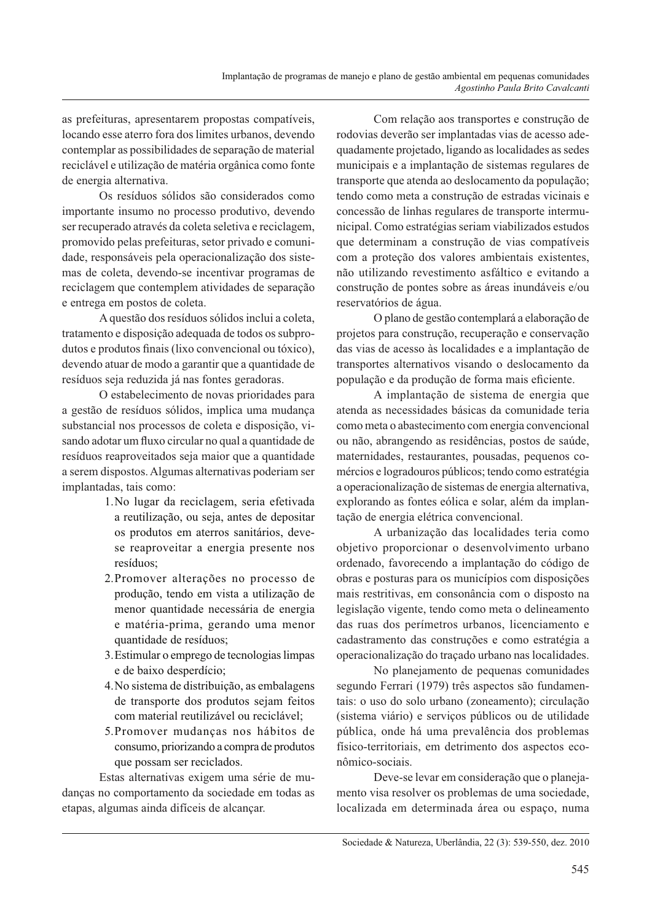as prefeituras, apresentarem propostas compatíveis. locando esse aterro fora dos limites urbanos, devendo contemplar as possibilidades de separação de material reciclável e utilização de matéria orgânica como fonte de energia alternativa.

Os resíduos sólidos são considerados como importante insumo no processo produtivo, devendo ser recuperado através da coleta seletiva e reciclagem, promovido pelas prefeituras, setor privado e comunidade, responsáveis pela operacionalização dos sistemas de coleta, devendo-se incentivar programas de reciclagem que contemplem atividades de separação e entrega em postos de coleta.

A questão dos resíduos sólidos inclui a coleta, tratamento e disposição adequada de todos os subprodutos e produtos finais (lixo convencional ou tóxico), devendo atuar de modo a garantir que a quantidade de resíduos seja reduzida já nas fontes geradoras.

O estabelecimento de novas prioridades para a gestão de resíduos sólidos, implica uma mudança substancial nos processos de coleta e disposição, visando adotar um fluxo circular no qual a quantidade de resíduos reaproveitados seja maior que a quantidade a serem dispostos. Algumas alternativas poderiam ser implantadas, tais como:

- 1. No lugar da reciclagem, seria efetivada a reutilização, ou seja, antes de depositar os produtos em aterros sanitários, devese reaproveitar a energia presente nos resíduos:
- 2. Promover alterações no processo de produção, tendo em vista a utilização de menor quantidade necessária de energia e matéria-prima, gerando uma menor quantidade de resíduos;
- 3. Estimular o emprego de tecnologias limpas e de baixo desperdício;
- 4. No sistema de distribuição, as embalagens de transporte dos produtos sejam feitos com material reutilizável ou reciclável;
- 5. Promover mudanças nos hábitos de consumo, priorizando a compra de produtos que possam ser reciclados.

Estas alternativas exigem uma série de mudanças no comportamento da sociedade em todas as etapas, algumas ainda difíceis de alcancar.

Com relação aos transportes e construção de rodovias deverão ser implantadas vias de acesso adequadamente projetado, ligando as localidades as sedes municipais e a implantação de sistemas regulares de transporte que atenda ao deslocamento da população; tendo como meta a construção de estradas vicinais e concessão de linhas regulares de transporte intermunicipal. Como estratégias seriam viabilizados estudos que determinam a construção de vias compatíveis com a proteção dos valores ambientais existentes. não utilizando revestimento asfáltico e evitando a construção de pontes sobre as áreas inundáveis e/ou reservatórios de água.

O plano de gestão contemplará a elaboração de projetos para construção, recuperação e conservação das vias de acesso às localidades e a implantação de transportes alternativos visando o deslocamento da população e da produção de forma mais eficiente.

A implantação de sistema de energia que atenda as necessidades básicas da comunidade teria como meta o abastecimento com energia convencional ou não, abrangendo as residências, postos de saúde, maternidades, restaurantes, pousadas, pequenos comércios e logradouros públicos; tendo como estratégia a operacionalização de sistemas de energia alternativa, explorando as fontes eólica e solar, além da implantação de energia elétrica convencional.

A urbanização das localidades teria como objetivo proporcionar o desenvolvimento urbano ordenado, favorecendo a implantação do código de obras e posturas para os municípios com disposições mais restritivas, em consonância com o disposto na legislação vigente, tendo como meta o delineamento das ruas dos perímetros urbanos, licenciamento e cadastramento das construções e como estratégia a operacionalização do traçado urbano nas localidades.

No planejamento de pequenas comunidades segundo Ferrari (1979) três aspectos são fundamentais: o uso do solo urbano (zoneamento); circulação (sistema viário) e serviços públicos ou de utilidade pública, onde há uma prevalência dos problemas físico-territoriais, em detrimento dos aspectos econômico-sociais.

Deve-se levar em consideração que o planejamento visa resolver os problemas de uma sociedade, localizada em determinada área ou espaço, numa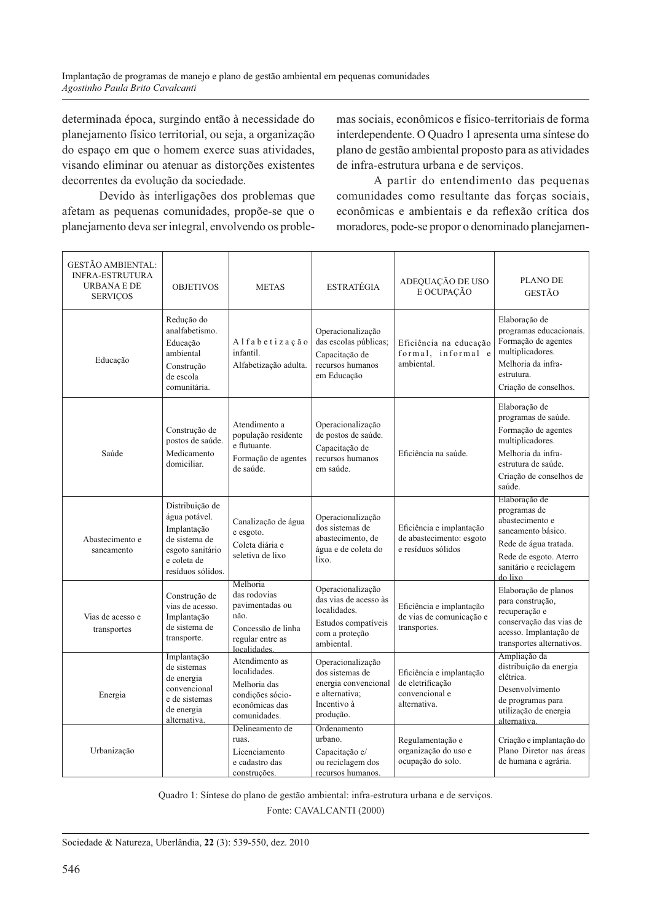determinada época, surgindo então à necessidade do planejamento físico territorial, ou seja, a organização do espaço em que o homem exerce suas atividades, visando eliminar ou atenuar as distorções existentes decorrentes da evolução da sociedade.

Devido às interligações dos problemas que afetam as pequenas comunidades, propõe-se que o planejamento deva ser integral, envolvendo os proble-

mas sociais, econômicos e físico-territoriais de forma interdependente. O Quadro 1 apresenta uma síntese do plano de gestão ambiental proposto para as atividades de infra-estrutura urbana e de serviços.

A partir do entendimento das pequenas comunidades como resultante das forças sociais, econômicas e ambientais e da reflexão crítica dos moradores, pode-se propor o denominado planejamen-

| <b>GESTÃO AMBIENTAL:</b><br><b>INFRA-ESTRUTURA</b><br>URBANA E DE<br><b>SERVIÇOS</b> | <b>OBJETIVOS</b>                                                                                                         | <b>METAS</b>                                                                                                  | <b>ESTRATÉGIA</b>                                                                                                 | ADEQUAÇÃO DE USO<br>E OCUPAÇÃO                                                 | <b>PLANO DE</b><br><b>GESTÃO</b>                                                                                                                                  |
|--------------------------------------------------------------------------------------|--------------------------------------------------------------------------------------------------------------------------|---------------------------------------------------------------------------------------------------------------|-------------------------------------------------------------------------------------------------------------------|--------------------------------------------------------------------------------|-------------------------------------------------------------------------------------------------------------------------------------------------------------------|
| Educação                                                                             | Redução do<br>analfabetismo.<br>Educação<br>ambiental<br>Construção<br>de escola<br>comunitária.                         | Alfabetização<br>infantil.<br>Alfabetização adulta.                                                           | Operacionalização<br>das escolas públicas;<br>Capacitação de<br>recursos humanos<br>em Educação                   | Eficiência na educação<br>formal, informal e<br>ambiental.                     | Elaboração de<br>programas educacionais.<br>Formação de agentes<br>multiplicadores.<br>Melhoria da infra-<br>estrutura.<br>Criação de conselhos.                  |
| Saúde                                                                                | Construção de<br>postos de saúde.<br>Medicamento<br>domiciliar.                                                          | Atendimento a<br>população residente<br>e flutuante.<br>Formação de agentes<br>de saúde.                      | Operacionalização<br>de postos de saúde.<br>Capacitação de<br>recursos humanos<br>em saúde.                       | Eficiência na saúde.                                                           | Elaboração de<br>programas de saúde.<br>Formação de agentes<br>multiplicadores.<br>Melhoria da infra-<br>estrutura de saúde.<br>Criação de conselhos de<br>saúde. |
| Abastecimento e<br>saneamento                                                        | Distribuição de<br>água potável.<br>Implantação<br>de sistema de<br>esgoto sanitário<br>e coleta de<br>resíduos sólidos. | Canalização de água<br>e esgoto.<br>Coleta diária e<br>seletiva de lixo                                       | Operacionalização<br>dos sistemas de<br>abastecimento, de<br>água e de coleta do<br>lixo.                         | Eficiência e implantação<br>de abastecimento: esgoto<br>e resíduos sólidos     | Elaboração de<br>programas de<br>abastecimento e<br>saneamento básico.<br>Rede de água tratada.<br>Rede de esgoto. Aterro<br>sanitário e reciclagem<br>do lixo    |
| Vias de acesso e<br>transportes                                                      | Construção de<br>vias de acesso.<br>Implantação<br>de sistema de<br>transporte.                                          | Melhoria<br>das rodovias<br>pavimentadas ou<br>não.<br>Concessão de linha<br>regular entre as<br>localidades. | Operacionalização<br>das vias de acesso às<br>localidades.<br>Estudos compatíveis<br>com a proteção<br>ambiental. | Eficiência e implantação<br>de vias de comunicação e<br>transportes.           | Elaboração de planos<br>para construção,<br>recuperação e<br>conservação das vias de<br>acesso. Implantação de<br>transportes alternativos.                       |
| Energia                                                                              | Implantação<br>de sistemas<br>de energia<br>convencional<br>e de sistemas<br>de energia<br>alternativa.                  | Atendimento as<br>localidades.<br>Melhoria das<br>condições sócio-<br>econômicas das<br>comunidades.          | Operacionalização<br>dos sistemas de<br>energia convencional<br>e alternativa:<br>Incentivo à<br>produção.        | Eficiência e implantação<br>de eletrificação<br>convencional e<br>alternativa. | Ampliação da<br>distribuição da energia<br>elétrica.<br>Desenvolvimento<br>de programas para<br>utilização de energia<br>alternativa.                             |
| Urbanização                                                                          |                                                                                                                          | Delineamento de<br>ruas.<br>Licenciamento<br>e cadastro das<br>construções                                    | Ordenamento<br>urbano.<br>Capacitação e/<br>ou reciclagem dos<br>recursos humanos                                 | Regulamentação e<br>organização do uso e<br>ocupação do solo.                  | Criação e implantação do<br>Plano Diretor nas áreas<br>de humana e agrária.                                                                                       |

Quadro 1: Síntese do plano de gestão ambiental: infra-estrutura urbana e de serviços. Fonte: CAVALCANTI (2000)

Sociedade & Natureza, Uberlândia, 22 (3): 539-550, dez. 2010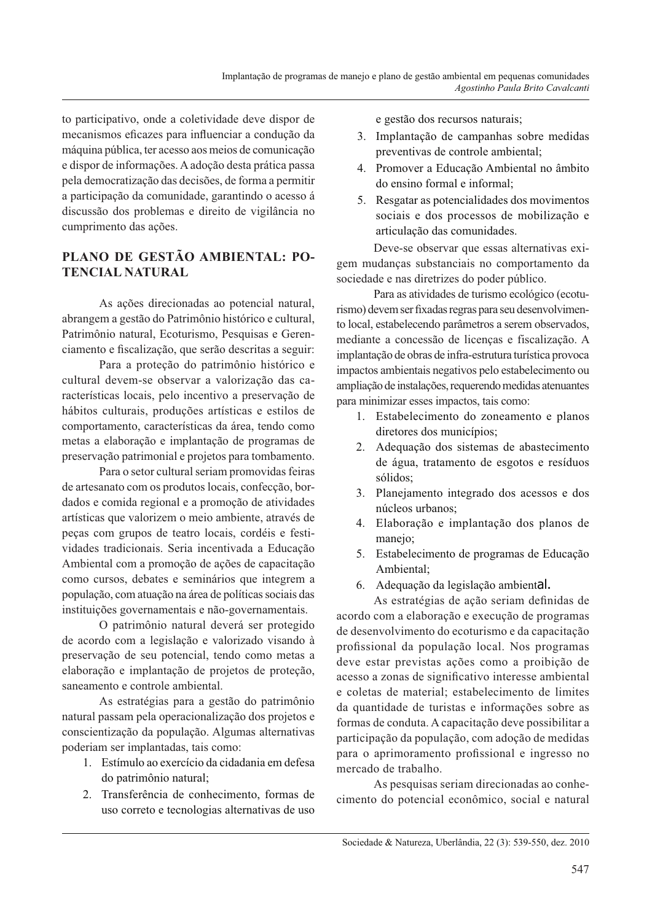to participativo, onde a coletividade deve dispor de mecanismos eficazes para influenciar a condução da máquina pública, ter acesso aos meios de comunicação e dispor de informações. A adoção desta prática passa pela democratização das decisões, de forma a permitir a participação da comunidade, garantindo o acesso á discussão dos problemas e direito de vigilância no cumprimento das ações.

# PLANO DE GESTÃO AMBIENTAL: PO-**TENCIAL NATURAL**

As ações direcionadas ao potencial natural, abrangem a gestão do Patrimônio histórico e cultural, Patrimônio natural, Ecoturismo, Pesquisas e Gerenciamento e fiscalização, que serão descritas a seguir:

Para a proteção do patrimônio histórico e cultural devem-se observar a valorização das características locais, pelo incentivo a preservação de hábitos culturais, produções artísticas e estilos de comportamento, características da área, tendo como metas a elaboração e implantação de programas de preservação patrimonial e projetos para tombamento.

Para o setor cultural seriam promovidas feiras de artesanato com os produtos locais, confecção, bordados e comida regional e a promoção de atividades artísticas que valorizem o meio ambiente, através de peças com grupos de teatro locais, cordéis e festividades tradicionais. Seria incentivada a Educação Ambiental com a promoção de ações de capacitação como cursos, debates e seminários que integrem a população, com atuação na área de políticas sociais das instituições governamentais e não-governamentais.

O patrimônio natural deverá ser protegido de acordo com a legislação e valorizado visando à preservação de seu potencial, tendo como metas a elaboração e implantação de projetos de proteção, saneamento e controle ambiental.

As estratégias para a gestão do patrimônio natural passam pela operacionalização dos projetos e conscientização da população. Algumas alternativas poderiam ser implantadas, tais como:

- 1. Estímulo ao exercício da cidadania em defesa do patrimônio natural:
- 2. Transferência de conhecimento, formas de uso correto e tecnologias alternativas de uso

e gestão dos recursos naturais:

- 3. Implantação de campanhas sobre medidas preventivas de controle ambiental;
- 4. Promover a Educação Ambiental no âmbito do ensino formal e informal;
- 5. Resgatar as potencialidades dos movimentos sociais e dos processos de mobilização e articulação das comunidades.

Deve-se observar que essas alternativas exigem mudanças substanciais no comportamento da sociedade e nas diretrizes do poder público.

Para as atividades de turismo ecológico (ecoturismo) devem ser fixadas regras para seu desenvolvimento local, estabelecendo parâmetros a serem observados, mediante a concessão de licenças e fiscalização. A implantação de obras de infra-estrutura turística provoca impactos ambientais negativos pelo estabelecimento ou ampliação de instalações, requerendo medidas atenuantes para minimizar esses impactos, tais como:

- 1. Estabelecimento do zoneamento e planos diretores dos municípios;
- 2. Adequação dos sistemas de abastecimento de água, tratamento de esgotos e resíduos sólidos;
- 3. Planejamento integrado dos acessos e dos núcleos urbanos;
- 4. Elaboração e implantação dos planos de manejo:
- 5. Estabelecimento de programas de Educação Ambiental;
- 6. Adequação da legislação ambiental.

As estratégias de ação seriam definidas de acordo com a elaboração e execução de programas de desenvolvimento do ecoturismo e da capacitação profissional da população local. Nos programas deve estar previstas ações como a proibição de acesso a zonas de significativo interesse ambiental e coletas de material; estabelecimento de limites da quantidade de turistas e informações sobre as formas de conduta. A capacitação deve possibilitar a participação da população, com adoção de medidas para o aprimoramento profissional e ingresso no mercado de trabalho.

As pesquisas seriam direcionadas ao conhecimento do potencial econômico, social e natural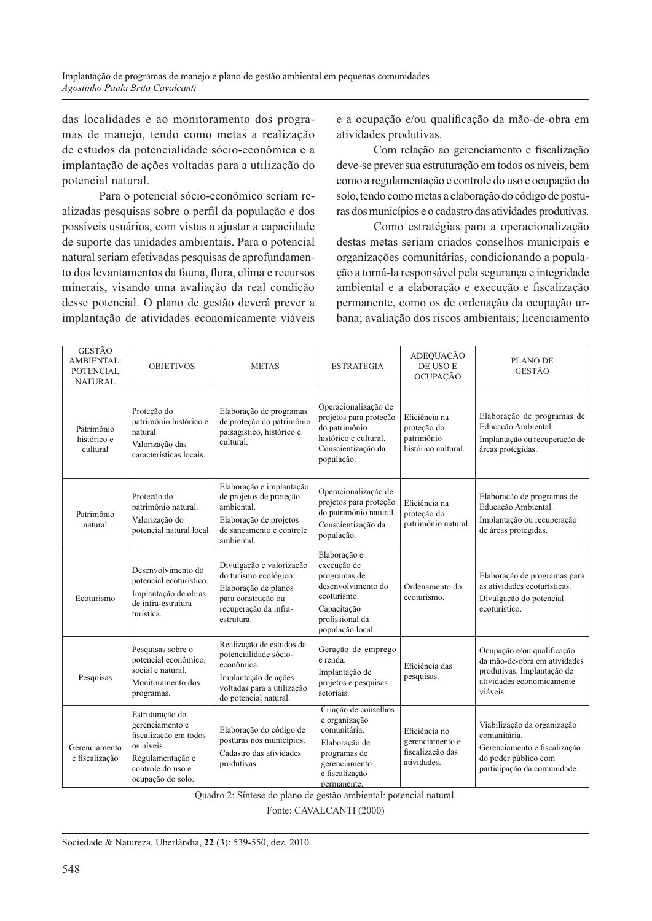das localidades e ao monitoramento dos programas de manejo, tendo como metas a realização de estudos da potencialidade sócio-econômica e a implantação de ações voltadas para a utilização do potencial natural.

Para o potencial sócio-econômico seriam realizadas pesquisas sobre o perfil da população e dos possíveis usuários, com vistas a ajustar a capacidade de suporte das unidades ambientais. Para o potencial natural seriam efetivadas pesquisas de aprofundamento dos levantamentos da fauna, flora, clima e recursos minerais, visando uma avaliação da real condição desse potencial. O plano de gestão deverá prever a implantação de atividades economicamente viáveis

e a ocupação e/ou qualificação da mão-de-obra em atividades produtivas.

Com relação ao gerenciamento e fiscalização deve-se prever sua estruturação em todos os níveis, bem como a regulamentação e controle do uso e ocupação do solo, tendo como metas a elaboração do código de posturas dos municípios e o cadastro das atividades produtivas.

Como estratégias para a operacionalização destas metas seriam criados conselhos municipais e organizações comunitárias, condicionando a população a torná-la responsável pela segurança e integridade ambiental e a elaboração e execução e fiscalização permanente, como os de ordenação da ocupação urbana; avaliação dos riscos ambientais; licenciamento

| <b>GESTÃO</b><br><b>AMBIENTAL:</b><br><b>POTENCIAL</b><br><b>NATURAL</b> | <b>OBJETIVOS</b>                                                                                                                        | <b>METAS</b>                                                                                                                                   | <b>ESTRATÉGIA</b>                                                                                                                       | ADEQUAÇÃO<br>DE USO E<br><b>OCUPAÇÃO</b>                            | PLANO DE<br><b>GESTÃO</b>                                                                                                          |
|--------------------------------------------------------------------------|-----------------------------------------------------------------------------------------------------------------------------------------|------------------------------------------------------------------------------------------------------------------------------------------------|-----------------------------------------------------------------------------------------------------------------------------------------|---------------------------------------------------------------------|------------------------------------------------------------------------------------------------------------------------------------|
| Patrimônio<br>histórico e<br>cultural                                    | Proteção do<br>patrimônio histórico e<br>natural.<br>Valorização das<br>características locais.                                         | Elaboração de programas<br>de proteção do patrimônio<br>paisagístico, histórico e<br>cultural.                                                 | Operacionalização de<br>projetos para proteção<br>do patrimônio<br>histórico e cultural.<br>Conscientização da<br>população.            | Eficiência na<br>proteção do<br>patrimônio<br>histórico cultural.   | Elaboração de programas de<br>Educação Ambiental.<br>Implantação ou recuperação de<br>áreas protegidas.                            |
| Patrimônio<br>natural                                                    | Proteção do<br>patrimônio natural.<br>Valorização do<br>potencial natural local.                                                        | Elaboração e implantação<br>de projetos de proteção<br>ambiental.<br>Elaboração de projetos<br>de saneamento e controle<br>ambiental.          | Operacionalização de<br>projetos para proteção<br>do patrimônio natural.<br>Conscientização da<br>população.                            | Eficiência na<br>proteção do<br>patrimônio natural.                 | Elaboração de programas de<br>Educação Ambiental.<br>Implantação ou recuperação<br>de áreas protegidas.                            |
| Ecoturismo                                                               | Desenvolvimento do<br>potencial ecoturístico.<br>Implantação de obras<br>de infra-estrutura<br>turística.                               | Divulgação e valorização<br>do turismo ecológico.<br>Elaboração de planos<br>para construção ou<br>recuperação da infra-<br>estrutura.         | Elaboração e<br>execução de<br>programas de<br>desenvolvimento do<br>ecoturismo.<br>Capacitação<br>profissional da<br>população local.  | Ordenamento do<br>ecoturismo.                                       | Elaboração de programas para<br>as atividades ecoturísticas.<br>Divulgação do potencial<br>ecoturístico.                           |
| Pesquisas                                                                | Pesquisas sobre o<br>potencial econômico,<br>social e natural.<br>Monitoramento dos<br>programas.                                       | Realização de estudos da<br>potencialidade sócio-<br>econômica.<br>Implantação de ações<br>voltadas para a utilização<br>do potencial natural. | Geração de emprego<br>e renda.<br>Implantação de<br>projetos e pesquisas<br>setoriais.                                                  | Eficiência das<br>pesquisas.                                        | Ocupação e/ou qualificação<br>da mão-de-obra em atividades<br>produtivas. Implantação de<br>atividades economicamente<br>viáveis.  |
| Gerenciamento<br>e fiscalização                                          | Estruturação do<br>gerenciamento e<br>fiscalização em todos<br>os níveis.<br>Regulamentação e<br>controle do uso e<br>ocupação do solo. | Elaboração do código de<br>posturas nos municípios.<br>Cadastro das atividades<br>produtivas.                                                  | Criação de conselhos<br>e organização<br>comunitária.<br>Elaboração de<br>programas de<br>gerenciamento<br>e fiscalização<br>nermanente | Eficiência no<br>gerenciamento e<br>fiscalização das<br>atividades. | Viabilização da organização<br>comunitária.<br>Gerenciamento e fiscalização<br>do poder público com<br>participação da comunidade. |

Quadro 2: Síntese do plano de gestão ambiental: potencial natural.

Fonte: CAVALCANTI (2000)